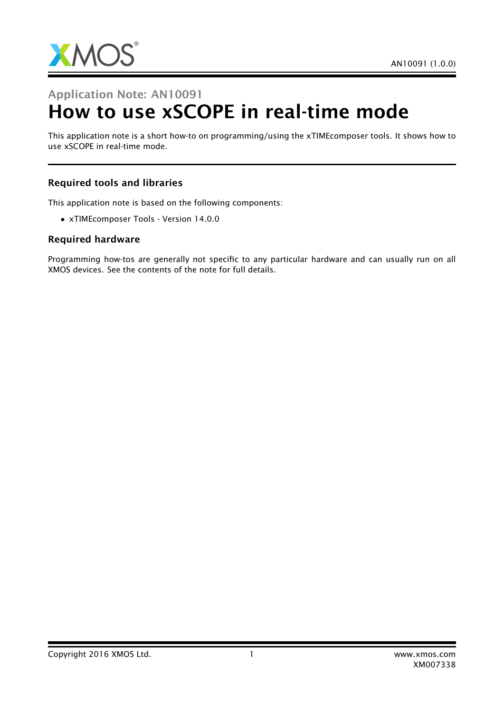

# Application Note: AN10091 How to use xSCOPE in real-time mode

This application note is a short how-to on programming/using the xTIMEcomposer tools. It shows how to use xSCOPE in real-time mode.

#### Required tools and libraries

This application note is based on the following components:

• xTIMEcomposer Tools - Version 14.0.0

#### Required hardware

Programming how-tos are generally not specific to any particular hardware and can usually run on all XMOS devices. See the contents of the note for full details.